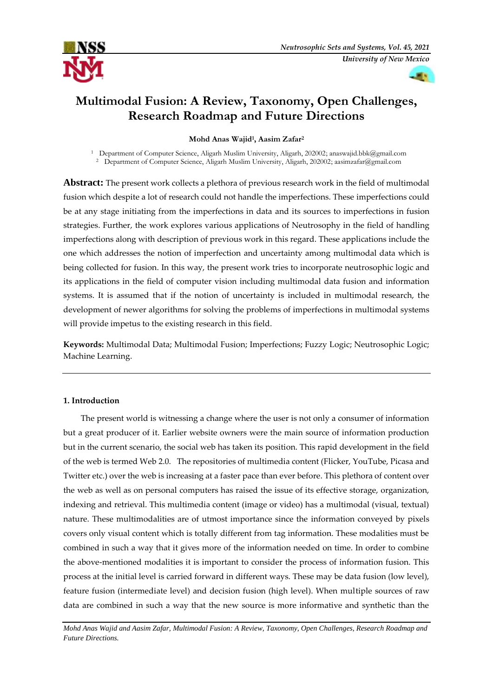



# **[Multimodal Fusion: A Review, Taxonomy, Open Challenges,](https://ejournal.um.edu.my/index.php/MJCS/article/view/26902)  [Research Roadmap and Future Directions](https://ejournal.um.edu.my/index.php/MJCS/article/view/26902)**

**Mohd Anas Wajid<sup>1</sup> , Aasim Zafar<sup>2</sup>**

<sup>1</sup> Department of Computer Science, Aligarh Muslim University, Aligarh, 202002; [anaswajid.bbk@gmail.com](mailto:anaswajid.bbk@gmail.com) <sup>2</sup> Department of Computer Science, Aligarh Muslim University, Aligarh, 202002; [aasimzafar@gmail.com](mailto:aasimzafar@gmail.com)

**Abstract:** The present work collects a plethora of previous research work in the field of multimodal fusion which despite a lot of research could not handle the imperfections. These imperfections could be at any stage initiating from the imperfections in data and its sources to imperfections in fusion strategies. Further, the work explores various applications of Neutrosophy in the field of handling imperfections along with description of previous work in this regard. These applications include the one which addresses the notion of imperfection and uncertainty among multimodal data which is being collected for fusion. In this way, the present work tries to incorporate neutrosophic logic and its applications in the field of computer vision including multimodal data fusion and information systems. It is assumed that if the notion of uncertainty is included in multimodal research, the development of newer algorithms for solving the problems of imperfections in multimodal systems will provide impetus to the existing research in this field.

**Keywords:** Multimodal Data; Multimodal Fusion; Imperfections; Fuzzy Logic; Neutrosophic Logic; Machine Learning.

# **1. Introduction**

The present world is witnessing a change where the user is not only a consumer of information but a great producer of it. Earlier website owners were the main source of information production but in the current scenario, the social web has taken its position. This rapid development in the field of the web is termed Web 2.0. The repositories of multimedia content (Flicker, YouTube, Picasa and Twitter etc.) over the web is increasing at a faster pace than ever before. This plethora of content over the web as well as on personal computers has raised the issue of its effective storage, organization, indexing and retrieval. This multimedia content (image or video) has a multimodal (visual, textual) nature. These multimodalities are of utmost importance since the information conveyed by pixels covers only visual content which is totally different from tag information. These modalities must be combined in such a way that it gives more of the information needed on time. In order to combine the above-mentioned modalities it is important to consider the process of information fusion. This process at the initial level is carried forward in different ways. These may be data fusion (low level), feature fusion (intermediate level) and decision fusion (high level). When multiple sources of raw data are combined in such a way that the new source is more informative and synthetic than the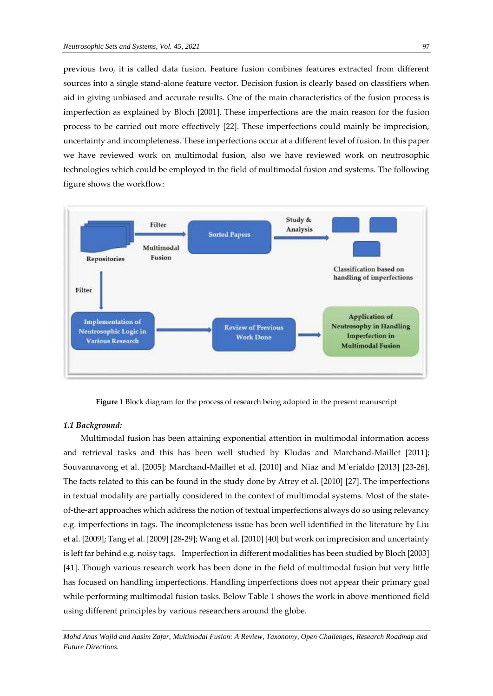previous two, it is called data fusion. Feature fusion combines features extracted from different sources into a single stand-alone feature vector. Decision fusion is clearly based on classifiers when aid in giving unbiased and accurate results. One of the main characteristics of the fusion process is imperfection as explained by Bloch [2001]. These imperfections are the main reason for the fusion process to be carried out more effectively [22]. These imperfections could mainly be imprecision, uncertainty and incompleteness. These imperfections occur at a different level of fusion. In this paper we have reviewed work on multimodal fusion, also we have reviewed work on neutrosophic technologies which could be employed in the field of multimodal fusion and systems. The following figure shows the workflow:



**Figure 1** Block diagram for the process of research being adopted in the present manuscript

#### *1.1 Background:*

Multimodal fusion has been attaining exponential attention in multimodal information access and retrieval tasks and this has been well studied by Kludas and Marchand-Maillet [2011]; Souvannavong et al. [2005]; Marchand-Maillet et al. [2010] and Niaz and M´erialdo [2013] [23-26]. The facts related to this can be found in the study done by Atrey et al. [2010] [27]. The imperfections in textual modality are partially considered in the context of multimodal systems. Most of the stateof-the-art approaches which address the notion of textual imperfections always do so using relevancy e.g. imperfections in tags. The incompleteness issue has been well identified in the literature by Liu et al. [2009]; Tang et al. [2009] [28-29]; Wang et al. [2010] [40] but work on imprecision and uncertainty is left far behind e.g. noisy tags. Imperfection in different modalities has been studied by Bloch [2003] [41]. Though various research work has been done in the field of multimodal fusion but very little has focused on handling imperfections. Handling imperfections does not appear their primary goal while performing multimodal fusion tasks. Below Table 1 shows the work in above-mentioned field using different principles by various researchers around the globe.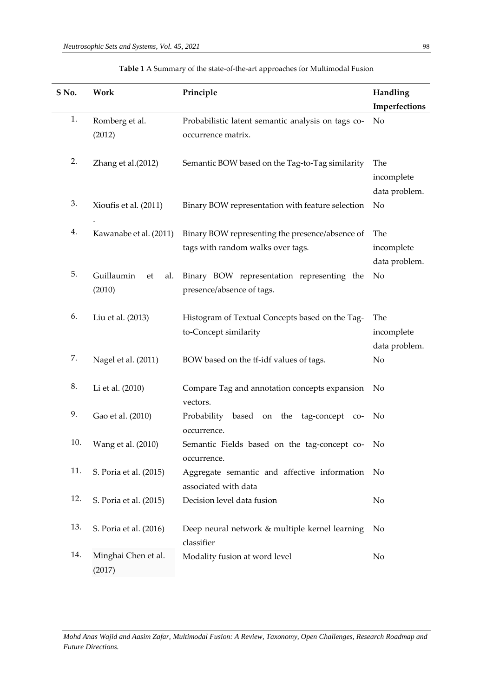$\ddot{\phantom{a}}$ 

| S No. | Work                    | Principle                                            | Handling       |
|-------|-------------------------|------------------------------------------------------|----------------|
|       |                         |                                                      | Imperfections  |
| 1.    | Romberg et al.          | Probabilistic latent semantic analysis on tags co-   | No             |
|       | (2012)                  | occurrence matrix.                                   |                |
|       |                         |                                                      |                |
| 2.    | Zhang et al.(2012)      | Semantic BOW based on the Tag-to-Tag similarity      | The            |
|       |                         |                                                      | incomplete     |
|       |                         |                                                      | data problem.  |
| 3.    |                         |                                                      |                |
|       | Xioufis et al. (2011)   | Binary BOW representation with feature selection     | No             |
|       |                         |                                                      |                |
| 4.    | Kawanabe et al. (2011)  | Binary BOW representing the presence/absence of      | The            |
|       |                         | tags with random walks over tags.                    | incomplete     |
|       |                         |                                                      | data problem.  |
| 5.    | Guillaumin<br>et<br>al. | Binary BOW representation representing the           | No             |
|       | (2010)                  | presence/absence of tags.                            |                |
|       |                         |                                                      |                |
| 6.    | Liu et al. (2013)       | Histogram of Textual Concepts based on the Tag-      | The            |
|       |                         | to-Concept similarity                                | incomplete     |
|       |                         |                                                      | data problem.  |
| 7.    | Nagel et al. (2011)     | BOW based on the tf-idf values of tags.              | No             |
|       |                         |                                                      |                |
| 8.    |                         |                                                      |                |
|       | Li et al. (2010)        | Compare Tag and annotation concepts expansion        | No             |
|       |                         | vectors.                                             |                |
| 9.    | Gao et al. (2010)       | Probability<br>based<br>the<br>tag-concept co-<br>on | No             |
|       |                         | occurrence.                                          |                |
| 10.   | Wang et al. (2010)      | Semantic Fields based on the tag-concept co-         | No             |
|       |                         | occurrence.                                          |                |
| 11.   | S. Poria et al. (2015)  | Aggregate semantic and affective information         | No             |
|       |                         | associated with data                                 |                |
| 12.   | S. Poria et al. (2015)  | Decision level data fusion                           | No             |
|       |                         |                                                      |                |
| 13.   | S. Poria et al. (2016)  | Deep neural network & multiple kernel learning       | N <sub>o</sub> |
|       |                         | classifier                                           |                |
| 14.   | Minghai Chen et al.     | Modality fusion at word level                        | No             |
|       |                         |                                                      |                |
|       | (2017)                  |                                                      |                |

| <b>Table 1</b> A Summary of the state-of-the-art approaches for Multimodal Fusion |  |  |  |
|-----------------------------------------------------------------------------------|--|--|--|
|-----------------------------------------------------------------------------------|--|--|--|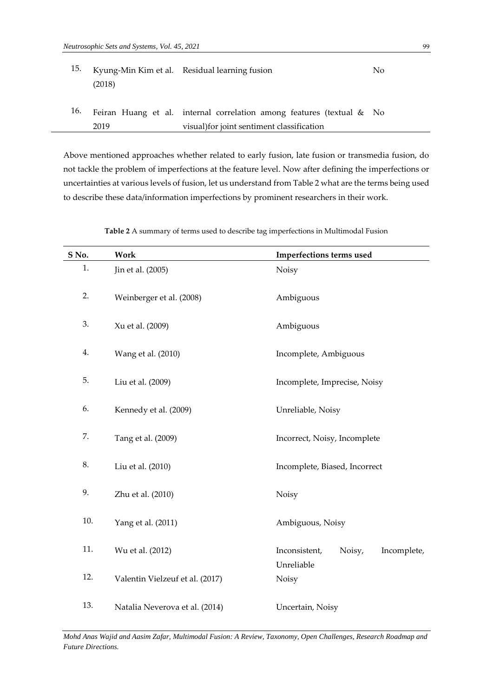| 15. | (2018) | Kyung-Min Kim et al. Residual learning fusion                                                                       | No. |
|-----|--------|---------------------------------------------------------------------------------------------------------------------|-----|
| 16. | 2019   | Feiran Huang et al. internal correlation among features (textual & No<br>visual) for joint sentiment classification |     |

Above mentioned approaches whether related to early fusion, late fusion or transmedia fusion, do not tackle the problem of imperfections at the feature level. Now after defining the imperfections or uncertainties at various levels of fusion, let us understand from Table 2 what are the terms being used to describe these data/information imperfections by prominent researchers in their work.

| S No. | Work                            | Imperfections terms used               |  |  |  |
|-------|---------------------------------|----------------------------------------|--|--|--|
| 1.    | Jin et al. (2005)               | Noisy                                  |  |  |  |
| 2.    | Weinberger et al. (2008)        | Ambiguous                              |  |  |  |
| 3.    | Xu et al. (2009)<br>Ambiguous   |                                        |  |  |  |
| 4.    | Wang et al. (2010)              | Incomplete, Ambiguous                  |  |  |  |
| 5.    | Liu et al. (2009)               | Incomplete, Imprecise, Noisy           |  |  |  |
| 6.    | Kennedy et al. (2009)           | Unreliable, Noisy                      |  |  |  |
| 7.    | Tang et al. (2009)              | Incorrect, Noisy, Incomplete           |  |  |  |
| 8.    | Liu et al. (2010)               | Incomplete, Biased, Incorrect          |  |  |  |
| 9.    | Zhu et al. (2010)               | Noisy                                  |  |  |  |
| 10.   | Yang et al. (2011)              | Ambiguous, Noisy                       |  |  |  |
| 11.   | Wu et al. (2012)                | Inconsistent,<br>Noisy,<br>Incomplete, |  |  |  |
| 12.   | Valentin Vielzeuf et al. (2017) | Unreliable<br>Noisy                    |  |  |  |
| 13.   | Natalia Neverova et al. (2014)  | Uncertain, Noisy                       |  |  |  |

**Table 2** A summary of terms used to describe tag imperfections in Multimodal Fusion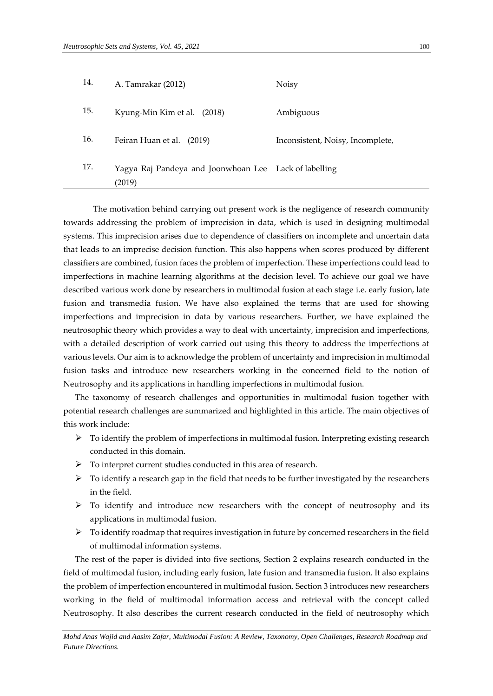| 14. | A. Tamrakar (2012)                                              | Noisy                            |
|-----|-----------------------------------------------------------------|----------------------------------|
| 15. | Kyung-Min Kim et al. (2018)                                     | Ambiguous                        |
| 16. | Feiran Huan et al. (2019)                                       | Inconsistent, Noisy, Incomplete, |
| 17. | Yagya Raj Pandeya and Joonwhoan Lee Lack of labelling<br>(2019) |                                  |

The motivation behind carrying out present work is the negligence of research community towards addressing the problem of imprecision in data, which is used in designing multimodal systems. This imprecision arises due to dependence of classifiers on incomplete and uncertain data that leads to an imprecise decision function. This also happens when scores produced by different classifiers are combined, fusion faces the problem of imperfection. These imperfections could lead to imperfections in machine learning algorithms at the decision level. To achieve our goal we have described various work done by researchers in multimodal fusion at each stage i.e. early fusion, late fusion and transmedia fusion. We have also explained the terms that are used for showing imperfections and imprecision in data by various researchers. Further, we have explained the neutrosophic theory which provides a way to deal with uncertainty, imprecision and imperfections, with a detailed description of work carried out using this theory to address the imperfections at various levels. Our aim is to acknowledge the problem of uncertainty and imprecision in multimodal fusion tasks and introduce new researchers working in the concerned field to the notion of Neutrosophy and its applications in handling imperfections in multimodal fusion.

The taxonomy of research challenges and opportunities in multimodal fusion together with potential research challenges are summarized and highlighted in this article. The main objectives of this work include:

- $\triangleright$  To identify the problem of imperfections in multimodal fusion. Interpreting existing research conducted in this domain.
- $\triangleright$  To interpret current studies conducted in this area of research.
- $\triangleright$  To identify a research gap in the field that needs to be further investigated by the researchers in the field.
- $\triangleright$  To identify and introduce new researchers with the concept of neutrosophy and its applications in multimodal fusion.
- $\triangleright$  To identify roadmap that requires investigation in future by concerned researchers in the field of multimodal information systems.

The rest of the paper is divided into five sections, Section 2 explains research conducted in the field of multimodal fusion, including early fusion, late fusion and transmedia fusion. It also explains the problem of imperfection encountered in multimodal fusion. Section 3 introduces new researchers working in the field of multimodal information access and retrieval with the concept called Neutrosophy. It also describes the current research conducted in the field of neutrosophy which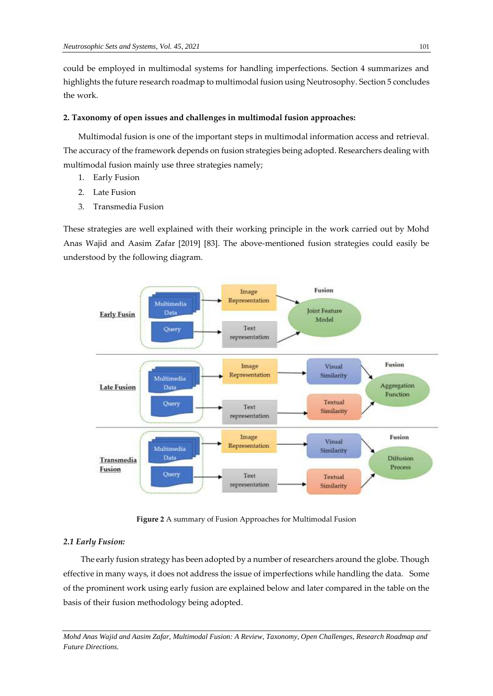could be employed in multimodal systems for handling imperfections. Section 4 summarizes and highlights the future research roadmap to multimodal fusion using Neutrosophy. Section 5 concludes the work.

## **2. Taxonomy of open issues and challenges in multimodal fusion approaches:**

Multimodal fusion is one of the important steps in multimodal information access and retrieval. The accuracy of the framework depends on fusion strategies being adopted. Researchers dealing with multimodal fusion mainly use three strategies namely;

- 1. Early Fusion
- 2. Late Fusion
- 3. Transmedia Fusion

These strategies are well explained with their working principle in the work carried out by Mohd Anas Wajid and Aasim Zafar [2019] [83]. The above-mentioned fusion strategies could easily be understood by the following diagram.



**Figure 2** A summary of Fusion Approaches for Multimodal Fusion

## *2.1 Early Fusion:*

The early fusion strategy has been adopted by a number of researchers around the globe. Though effective in many ways, it does not address the issue of imperfections while handling the data. Some of the prominent work using early fusion are explained below and later compared in the table on the basis of their fusion methodology being adopted.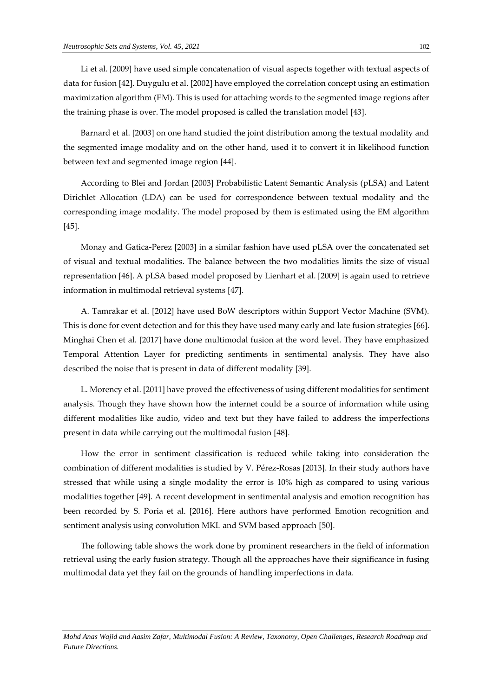Li et al. [2009] have used simple concatenation of visual aspects together with textual aspects of data for fusion [42]. Duygulu et al. [2002] have employed the correlation concept using an estimation maximization algorithm (EM). This is used for attaching words to the segmented image regions after the training phase is over. The model proposed is called the translation model [43].

Barnard et al. [2003] on one hand studied the joint distribution among the textual modality and the segmented image modality and on the other hand, used it to convert it in likelihood function between text and segmented image region [44].

According to Blei and Jordan [2003] Probabilistic Latent Semantic Analysis (pLSA) and Latent Dirichlet Allocation (LDA) can be used for correspondence between textual modality and the corresponding image modality. The model proposed by them is estimated using the EM algorithm [45].

Monay and Gatica-Perez [2003] in a similar fashion have used pLSA over the concatenated set of visual and textual modalities. The balance between the two modalities limits the size of visual representation [46]. A pLSA based model proposed by Lienhart et al. [2009] is again used to retrieve information in multimodal retrieval systems [47].

A. Tamrakar et al. [2012] have used BoW descriptors within Support Vector Machine (SVM). This is done for event detection and for this they have used many early and late fusion strategies [66]. Minghai Chen et al. [2017] have done multimodal fusion at the word level. They have emphasized Temporal Attention Layer for predicting sentiments in sentimental analysis. They have also described the noise that is present in data of different modality [39].

L. Morency et al. [2011] have proved the effectiveness of using different modalities for sentiment analysis. Though they have shown how the internet could be a source of information while using different modalities like audio, video and text but they have failed to address the imperfections present in data while carrying out the multimodal fusion [48].

How the error in sentiment classification is reduced while taking into consideration the combination of different modalities is studied by V. Pérez-Rosas [2013]. In their study authors have stressed that while using a single modality the error is 10% high as compared to using various modalities together [49]. A recent development in sentimental analysis and emotion recognition has been recorded by S. Poria et al. [2016]. Here authors have performed Emotion recognition and sentiment analysis using convolution MKL and SVM based approach [50].

The following table shows the work done by prominent researchers in the field of information retrieval using the early fusion strategy. Though all the approaches have their significance in fusing multimodal data yet they fail on the grounds of handling imperfections in data.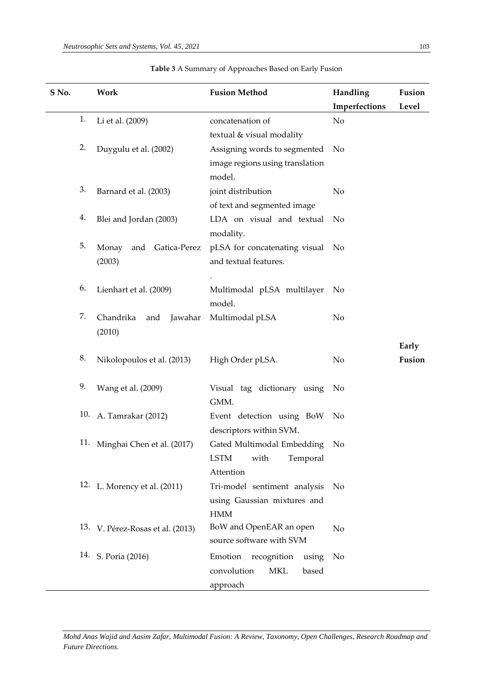| S No. |     | Work                             | <b>Fusion Method</b>               | Handling       | Fusion |
|-------|-----|----------------------------------|------------------------------------|----------------|--------|
|       |     |                                  |                                    | Imperfections  | Level  |
|       | 1.  | Li et al. (2009)                 | concatenation of                   | No             |        |
|       |     |                                  | textual & visual modality          |                |        |
|       | 2.  | Duygulu et al. (2002)            | Assigning words to segmented       | No             |        |
|       |     |                                  | image regions using translation    |                |        |
|       |     |                                  | model.                             |                |        |
|       | 3.  | Barnard et al. (2003)            | joint distribution                 | No             |        |
|       |     |                                  | of text and segmented image        |                |        |
|       | 4.  | Blei and Jordan (2003)           | LDA on visual and textual          | No             |        |
|       |     |                                  | modality.                          |                |        |
|       | 5.  | and Gatica-Perez<br>Monay        | pLSA for concatenating visual No   |                |        |
|       |     | (2003)                           | and textual features.              |                |        |
|       |     |                                  |                                    |                |        |
|       | 6.  | Lienhart et al. (2009)           | Multimodal pLSA multilayer         | No             |        |
|       |     |                                  | model.                             |                |        |
|       | 7.  | Chandrika<br>and<br>Jawahar      | Multimodal pLSA                    | No             |        |
|       |     | (2010)                           |                                    |                |        |
|       |     |                                  |                                    |                | Early  |
|       | 8.  | Nikolopoulos et al. (2013)       | High Order pLSA.                   | No             | Fusion |
|       |     |                                  |                                    |                |        |
|       | 9.  | Wang et al. (2009)               | Visual tag dictionary using        | No             |        |
|       |     |                                  | GMM.                               |                |        |
|       | 10. | A. Tamrakar (2012)               | Event detection using BoW          | No             |        |
|       |     |                                  | descriptors within SVM.            |                |        |
|       | 11. | Minghai Chen et al. (2017)       | Gated Multimodal Embedding         | No             |        |
|       |     |                                  | <b>LSTM</b><br>with<br>Temporal    |                |        |
|       |     |                                  | Attention                          |                |        |
|       |     | 12. L. Morency et al. (2011)     | Tri-model sentiment analysis       | N <sub>o</sub> |        |
|       |     |                                  | using Gaussian mixtures and        |                |        |
|       |     |                                  | <b>HMM</b>                         |                |        |
|       |     | 13. V. Pérez-Rosas et al. (2013) | BoW and OpenEAR an open            | No             |        |
|       |     |                                  | source software with SVM           |                |        |
|       |     | 14. S. Poria (2016)              | Emotion<br>recognition<br>using    | No             |        |
|       |     |                                  | convolution<br><b>MKL</b><br>based |                |        |
|       |     |                                  | approach                           |                |        |

# **Table 3** A Summary of Approaches Based on Early Fusion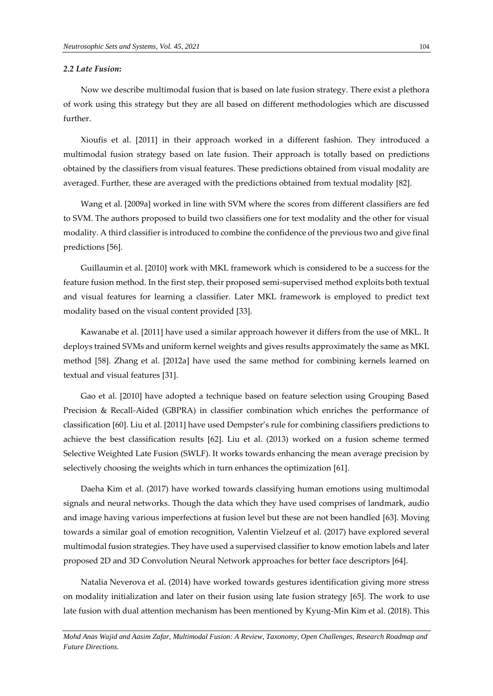#### *2.2 Late Fusion***:**

Now we describe multimodal fusion that is based on late fusion strategy. There exist a plethora of work using this strategy but they are all based on different methodologies which are discussed further.

Xioufis et al. [2011] in their approach worked in a different fashion. They introduced a multimodal fusion strategy based on late fusion. Their approach is totally based on predictions obtained by the classifiers from visual features. These predictions obtained from visual modality are averaged. Further, these are averaged with the predictions obtained from textual modality [82].

Wang et al. [2009a] worked in line with SVM where the scores from different classifiers are fed to SVM. The authors proposed to build two classifiers one for text modality and the other for visual modality. A third classifier is introduced to combine the confidence of the previous two and give final predictions [56].

Guillaumin et al. [2010] work with MKL framework which is considered to be a success for the feature fusion method. In the first step, their proposed semi-supervised method exploits both textual and visual features for learning a classifier. Later MKL framework is employed to predict text modality based on the visual content provided [33].

Kawanabe et al. [2011] have used a similar approach however it differs from the use of MKL. It deploys trained SVMs and uniform kernel weights and gives results approximately the same as MKL method [58]. Zhang et al. [2012a] have used the same method for combining kernels learned on textual and visual features [31].

Gao et al. [2010] have adopted a technique based on feature selection using Grouping Based Precision & Recall-Aided (GBPRA) in classifier combination which enriches the performance of classification [60]. Liu et al. [2011] have used Dempster's rule for combining classifiers predictions to achieve the best classification results [62]. Liu et al. (2013) worked on a fusion scheme termed Selective Weighted Late Fusion (SWLF). It works towards enhancing the mean average precision by selectively choosing the weights which in turn enhances the optimization [61].

Daeha Kim et al. (2017) have worked towards classifying human emotions using multimodal signals and neural networks. Though the data which they have used comprises of landmark, audio and image having various imperfections at fusion level but these are not been handled [63]. Moving towards a similar goal of emotion recognition, Valentin Vielzeuf et al. (2017) have explored several multimodal fusion strategies. They have used a supervised classifier to know emotion labels and later proposed 2D and 3D Convolution Neural Network approaches for better face descriptors [64].

Natalia Neverova et al. (2014) have worked towards gestures identification giving more stress on modality initialization and later on their fusion using late fusion strategy [65]. The work to use late fusion with dual attention mechanism has been mentioned by Kyung-Min Kim et al. (2018). This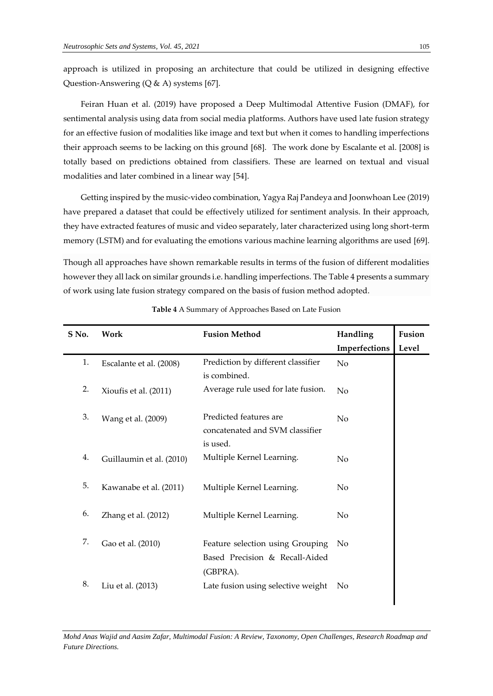approach is utilized in proposing an architecture that could be utilized in designing effective Question-Answering (Q & A) systems [67].

[Feiran Huan](https://www.sciencedirect.com/science/article/pii/S095070511930019X#!) et al. (2019) have proposed a Deep Multimodal Attentive Fusion (DMAF), for sentimental analysis using data from social media platforms. Authors have used late fusion strategy for an effective fusion of modalities like image and text but when it comes to handling imperfections their approach seems to be lacking on this ground [68]. The work done by Escalante et al. [2008] is totally based on predictions obtained from classifiers. These are learned on textual and visual modalities and later combined in a linear way [54].

Getting inspired by the music-video combination, Yagya Raj Pandeya and Joonwhoan Lee (2019) have prepared a dataset that could be effectively utilized for sentiment analysis. In their approach, they have extracted features of music and video separately, later characterized using long short-term memory (LSTM) and for evaluating the emotions various machine learning algorithms are used [69].

Though all approaches have shown remarkable results in terms of the fusion of different modalities however they all lack on similar grounds i.e. handling imperfections. The Table 4 presents a summary of work using late fusion strategy compared on the basis of fusion method adopted.

| S No. | Work                     | <b>Fusion Method</b>               | Handling      | Fusion |
|-------|--------------------------|------------------------------------|---------------|--------|
|       |                          |                                    | Imperfections | Level  |
| 1.    | Escalante et al. (2008)  | Prediction by different classifier | No            |        |
|       |                          | is combined.                       |               |        |
| 2.    | Xioufis et al. (2011)    | Average rule used for late fusion. | No            |        |
|       |                          |                                    |               |        |
| 3.    | Wang et al. (2009)       | Predicted features are             | No            |        |
|       |                          | concatenated and SVM classifier    |               |        |
|       |                          | is used.                           |               |        |
| 4.    | Guillaumin et al. (2010) | Multiple Kernel Learning.          | No            |        |
|       |                          |                                    |               |        |
| 5.    | Kawanabe et al. (2011)   | Multiple Kernel Learning.          | No            |        |
|       |                          |                                    |               |        |
| 6.    | Zhang et al. (2012)      | Multiple Kernel Learning.          | No            |        |
|       |                          |                                    |               |        |
| 7.    | Gao et al. (2010)        | Feature selection using Grouping   | No            |        |
|       |                          | Based Precision & Recall-Aided     |               |        |
|       |                          | (GBPRA).                           |               |        |
| 8.    | Liu et al. (2013)        | Late fusion using selective weight | No            |        |
|       |                          |                                    |               |        |

**Table 4** A Summary of Approaches Based on Late Fusion

*Mohd Anas Wajid and Aasim Zafar, [Multimodal Fusion: A Review, Taxonomy, Open Challenges, Research Roadmap and](https://ejournal.um.edu.my/index.php/MJCS/article/view/26902)  [Future Directions.](https://ejournal.um.edu.my/index.php/MJCS/article/view/26902)*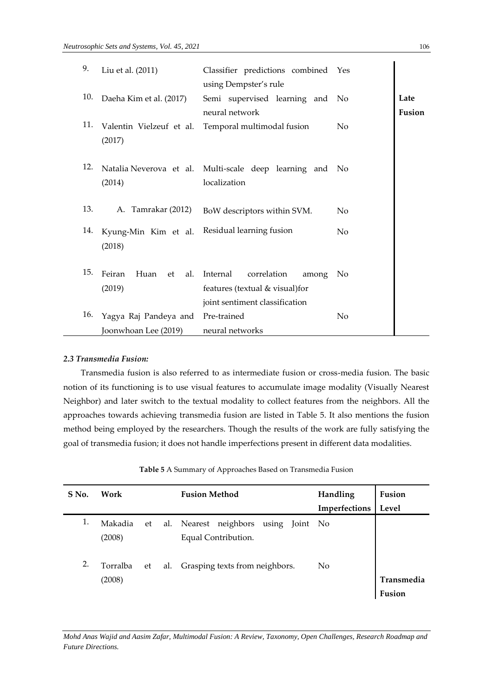| 9.  | Liu et al. (2011)                             | Classifier predictions combined Yes<br>using Dempster's rule                                          |                |                |
|-----|-----------------------------------------------|-------------------------------------------------------------------------------------------------------|----------------|----------------|
| 10. | Daeha Kim et al. (2017)                       | Semi supervised learning and No<br>neural network                                                     |                | Late<br>Fusion |
| 11. | Valentin Vielzeuf et al.<br>(2017)            | Temporal multimodal fusion                                                                            | No             |                |
| 12. | (2014)                                        | Natalia Neverova et al. Multi-scale deep learning and No<br>localization                              |                |                |
| 13. | A. Tamrakar (2012)                            | BoW descriptors within SVM.                                                                           | No             |                |
| 14. | Kyung-Min Kim et al.<br>(2018)                | Residual learning fusion                                                                              | No             |                |
| 15. | Feiran<br>Huan<br>al.<br>– et<br>(2019)       | Internal<br>correlation<br>among<br>features (textual & visual) for<br>joint sentiment classification | No             |                |
| 16. | Yagya Raj Pandeya and<br>Joonwhoan Lee (2019) | Pre-trained<br>neural networks                                                                        | N <sub>o</sub> |                |

# *2.3 Transmedia Fusion:*

Transmedia fusion is also referred to as intermediate fusion or cross-media fusion. The basic notion of its functioning is to use visual features to accumulate image modality (Visually Nearest Neighbor) and later switch to the textual modality to collect features from the neighbors. All the approaches towards achieving transmedia fusion are listed in Table 5. It also mentions the fusion method being employed by the researchers. Though the results of the work are fully satisfying the goal of transmedia fusion; it does not handle imperfections present in different data modalities.

| S No. | Work     |    |     | <b>Fusion Method</b>                | Handling      | Fusion            |
|-------|----------|----|-----|-------------------------------------|---------------|-------------------|
|       |          |    |     |                                     | Imperfections | Level             |
| 1.    | Makadia  | et | al. | Nearest neighbors<br>using Joint No |               |                   |
|       | (2008)   |    |     | Equal Contribution.                 |               |                   |
| 2.    | Torralba | et | al. | Grasping texts from neighbors.      | No            |                   |
|       | (2008)   |    |     |                                     |               | <b>Transmedia</b> |
|       |          |    |     |                                     |               | Fusion            |

**Table 5** A Summary of Approaches Based on Transmedia Fusion

 $\ddot{\phantom{a}}$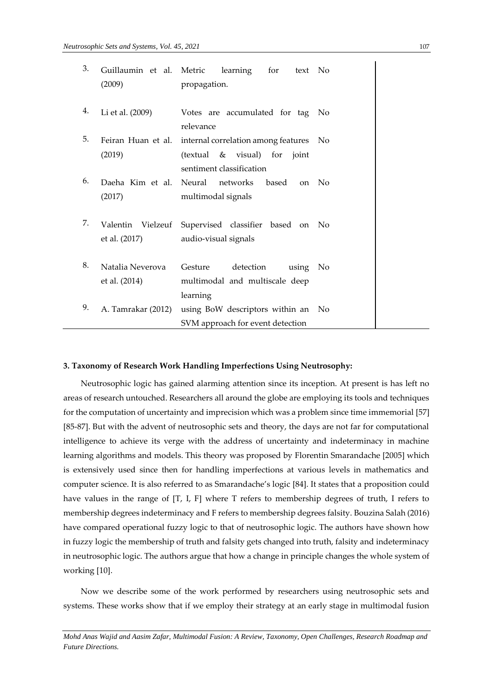| 3. | Guillaumin et al. Metric<br>(2009) | learning<br>for<br>text<br>propagation.                                                                      | No             |
|----|------------------------------------|--------------------------------------------------------------------------------------------------------------|----------------|
| 4. | Li et al. (2009)                   | Votes are accumulated for tag                                                                                | No             |
| 5. | Feiran Huan et al.<br>(2019)       | relevance<br>internal correlation among features<br>(textual & visual) for joint<br>sentiment classification | No             |
| 6. | Daeha Kim et al.<br>(2017)         | Neural networks<br>based<br><sub>on</sub><br>multimodal signals                                              | No             |
| 7. | Valentin Vielzeuf<br>et al. (2017) | Supervised classifier based on No<br>audio-visual signals                                                    |                |
| 8. | Natalia Neverova<br>et al. (2014)  | Gesture<br>detection<br>using<br>multimodal and multiscale deep                                              | No             |
| 9. | A. Tamrakar (2012)                 | learning<br>using BoW descriptors within an<br>SVM approach for event detection                              | N <sub>o</sub> |

#### **3. Taxonomy of Research Work Handling Imperfections Using Neutrosophy:**

Neutrosophic logic has gained alarming attention since its inception. At present is has left no areas of research untouched. Researchers all around the globe are employing its tools and techniques for the computation of uncertainty and imprecision which was a problem since time immemorial [57] [85-87]. But with the advent of neutrosophic sets and theory, the days are not far for computational intelligence to achieve its verge with the address of uncertainty and indeterminacy in machine learning algorithms and models. This theory was proposed by Florentin Smarandache [2005] which is extensively used since then for handling imperfections at various levels in mathematics and computer science. It is also referred to as Smarandache's logic [84]. It states that a proposition could have values in the range of [T, I, F] where T refers to membership degrees of truth, I refers to membership degrees indeterminacy and F refers to membership degrees falsity. Bouzina Salah (2016) have compared operational fuzzy logic to that of neutrosophic logic. The authors have shown how in fuzzy logic the membership of truth and falsity gets changed into truth, falsity and indeterminacy in neutrosophic logic. The authors argue that how a change in principle changes the whole system of working [10].

Now we describe some of the work performed by researchers using neutrosophic sets and systems. These works show that if we employ their strategy at an early stage in multimodal fusion

*Mohd Anas Wajid and Aasim Zafar, [Multimodal Fusion: A Review, Taxonomy, Open Challenges, Research Roadmap and](https://ejournal.um.edu.my/index.php/MJCS/article/view/26902)  [Future Directions.](https://ejournal.um.edu.my/index.php/MJCS/article/view/26902)*

 $\mathbf{I}$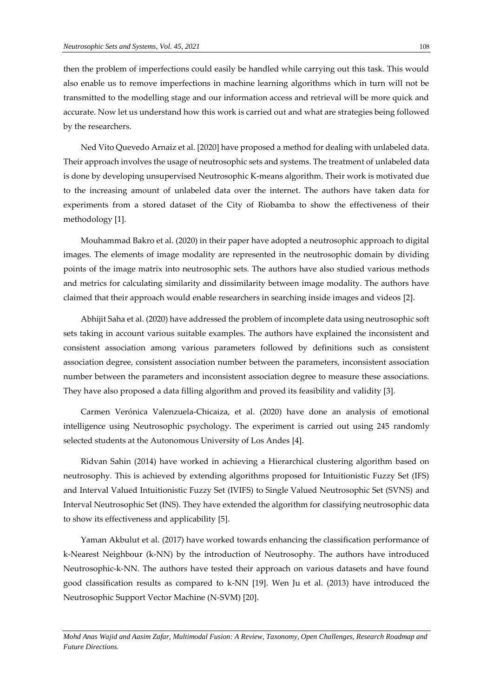then the problem of imperfections could easily be handled while carrying out this task. This would also enable us to remove imperfections in machine learning algorithms which in turn will not be transmitted to the modelling stage and our information access and retrieval will be more quick and accurate. Now let us understand how this work is carried out and what are strategies being followed by the researchers.

[Ned Vito Quevedo Arnaiz](https://digitalrepository.unm.edu/do/search/?q=author_lname%3A%22Arnaiz%22%20author_fname%3A%22Ned%22&start=0&context=8211305) et al. [2020] have proposed a method for dealing with unlabeled data. Their approach involves the usage of neutrosophic sets and systems. The treatment of unlabeled data is done by developing unsupervised Neutrosophic K-means algorithm. Their work is motivated due to the increasing amount of unlabeled data over the internet. The authors have taken data for experiments from a stored dataset of the City of Riobamba to show the effectiveness of their methodology [1].

Mouhammad Bakro et al. (2020) in their paper have adopted a neutrosophic approach to digital images. The elements of image modality are represented in the neutrosophic domain by dividing points of the image matrix into neutrosophic sets. The authors have also studied various methods and metrics for calculating similarity and dissimilarity between image modality. The authors have claimed that their approach would enable researchers in searching inside images and videos [2].

[Abhijit Saha](https://digitalrepository.unm.edu/do/search/?q=author_lname%3A%22Saha%22%20author_fname%3A%22Abhijit%22&start=0&context=8211305) et al. (2020) have addressed the problem of incomplete data using neutrosophic soft sets taking in account various suitable examples. The authors have explained the inconsistent and consistent association among various parameters followed by definitions such as consistent association degree, consistent association number between the parameters, inconsistent association number between the parameters and inconsistent association degree to measure these associations. They have also proposed a data filling algorithm and proved its feasibility and validity [3].

[Carmen Verónica Valenzuela-Chicaiza,](https://digitalrepository.unm.edu/do/search/?q=author_lname%3A%22Valenzuela-Chicaiza%22%20author_fname%3A%22Carmen%22&start=0&context=8211305) et al. (2020) have done an analysis of emotional intelligence using Neutrosophic psychology. The experiment is carried out using 245 randomly selected students at the Autonomous University of Los Andes [4].

[Ridvan Sahin](https://digitalrepository.unm.edu/do/search/?q=author_lname%3A%22Sahin%22%20author_fname%3A%22Ridvan%22&start=0&context=8211305) (2014) have worked in achieving a Hierarchical clustering algorithm based on neutrosophy. This is achieved by extending algorithms proposed for Intuitionistic Fuzzy Set (IFS) and Interval Valued Intuitionistic Fuzzy Set (IVIFS) to Single Valued Neutrosophic Set (SVNS) and Interval Neutrosophic Set (INS). They have extended the algorithm for classifying neutrosophic data to show its effectiveness and applicability [5].

Yaman Akbulut et al. (2017) have worked towards enhancing the classification performance of k-Nearest Neighbour (k-NN) by the introduction of Neutrosophy. The authors have introduced Neutrosophic-k-NN. The authors have tested their approach on various datasets and have found good classification results as compared to k-NN [19]. Wen Ju et al. (2013) have introduced the Neutrosophic Support Vector Machine (N-SVM) [20].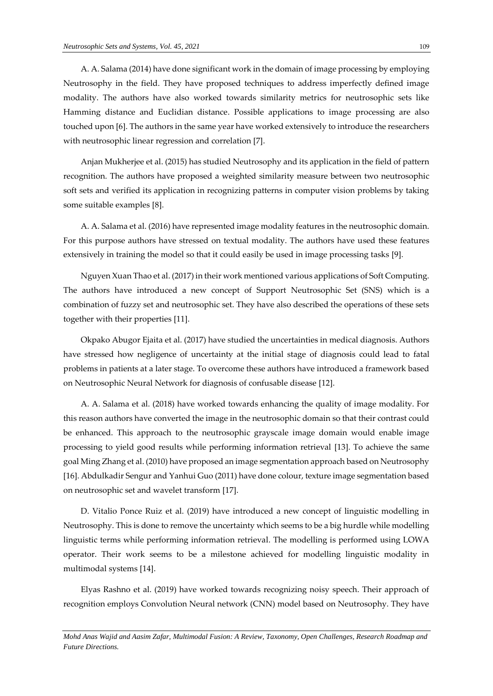[A. A. Salama](https://digitalrepository.unm.edu/do/search/?q=author_lname%3A%22Salama%22%20author_fname%3A%22A.%22&start=0&context=8211305) (2014) have done significant work in the domain of image processing by employing Neutrosophy in the field. They have proposed techniques to address imperfectly defined image modality. The authors have also worked towards similarity metrics for neutrosophic sets like Hamming distance and Euclidian distance. Possible applications to image processing are also touched upon [6]. The authors in the same year have worked extensively to introduce the researchers with neutrosophic linear regression and correlation [7].

[Anjan Mukherjee](https://digitalrepository.unm.edu/do/search/?q=author_lname%3A%22Mukherjee%22%20author_fname%3A%22Anjan%22&start=0&context=8211305) et al. (2015) has studied Neutrosophy and its application in the field of pattern recognition. The authors have proposed a weighted similarity measure between two neutrosophic soft sets and verified its application in recognizing patterns in computer vision problems by taking some suitable examples [8].

[A. A. Salama](https://digitalrepository.unm.edu/do/search/?q=author_lname%3A%22Salama%22%20author_fname%3A%22A.%22&start=0&context=8211305) et al. (2016) have represented image modality features in the neutrosophic domain. For this purpose authors have stressed on textual modality. The authors have used these features extensively in training the model so that it could easily be used in image processing tasks [9].

[Nguyen Xuan Thao](https://digitalrepository.unm.edu/do/search/?q=author_lname%3A%22Thao%22%20author_fname%3A%22Nguyen%22&start=0&context=8211305) et al. (2017) in their work mentioned various applications of Soft Computing. The authors have introduced a new concept of Support Neutrosophic Set (SNS) which is a combination of fuzzy set and neutrosophic set. They have also described the operations of these sets together with their properties [11].

[Okpako Abugor Ejaita](https://digitalrepository.unm.edu/do/search/?q=author_lname%3A%22Ejaita%22%20author_fname%3A%22Okpako%22&start=0&context=8211305) et al. (2017) have studied the uncertainties in medical diagnosis. Authors have stressed how negligence of uncertainty at the initial stage of diagnosis could lead to fatal problems in patients at a later stage. To overcome these authors have introduced a framework based on Neutrosophic Neural Network for diagnosis of confusable disease [12].

[A. A. Salama](https://digitalrepository.unm.edu/do/search/?q=author_lname%3A%22Salama%22%20author_fname%3A%22A.%22&start=0&context=8211305) et al. (2018) have worked towards enhancing the quality of image modality. For this reason authors have converted the image in the neutrosophic domain so that their contrast could be enhanced. This approach to the neutrosophic grayscale image domain would enable image processing to yield good results while performing information retrieval [13]. To achieve the same goal Ming Zhang et al. (2010) have proposed an image segmentation approach based on Neutrosophy [16]. Abdulkadir Sengur and Yanhui Guo (2011) have done colour, texture image segmentation based on neutrosophic set and wavelet transform [17].

[D. Vitalio Ponce Ruiz](https://digitalrepository.unm.edu/do/search/?q=author_lname%3A%22Ponce%20Ruiz%22%20author_fname%3A%22D.%22&start=0&context=8211305) et al. (2019) have introduced a new concept of linguistic modelling in Neutrosophy. This is done to remove the uncertainty which seems to be a big hurdle while modelling linguistic terms while performing information retrieval. The modelling is performed using LOWA operator. Their work seems to be a milestone achieved for modelling linguistic modality in multimodal systems [14].

Elyas Rashno et al. (2019) have worked towards recognizing noisy speech. Their approach of recognition employs Convolution Neural network (CNN) model based on Neutrosophy. They have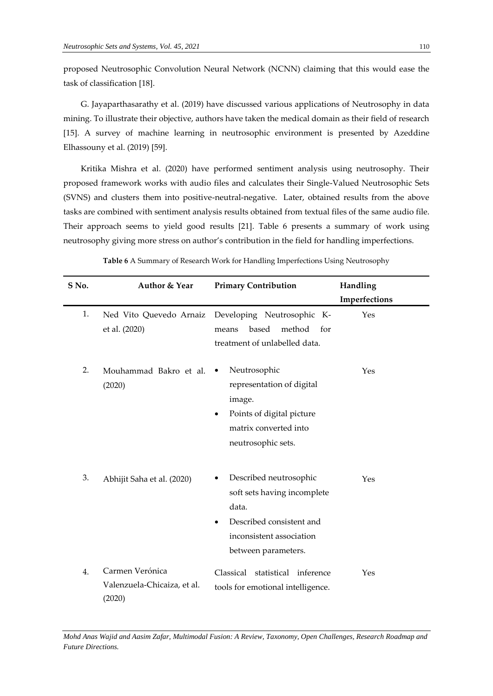proposed Neutrosophic Convolution Neural Network (NCNN) claiming that this would ease the task of classification [18].

[G. Jayaparthasarathy](https://digitalrepository.unm.edu/do/search/?q=author_lname%3A%22Jayaparthasarathy%22%20author_fname%3A%22G.%22&start=0&context=8211305) et al. (2019) have discussed various applications of Neutrosophy in data mining. To illustrate their objective, authors have taken the medical domain as their field of research [15]. A survey of machine learning in neutrosophic environment is presented by [Azeddine](https://digitalrepository.unm.edu/do/search/?q=author_lname%3A%22Elhassouny%22%20author_fname%3A%22Azeddine%22&start=0&context=8211305)  [Elhassouny](https://digitalrepository.unm.edu/do/search/?q=author_lname%3A%22Elhassouny%22%20author_fname%3A%22Azeddine%22&start=0&context=8211305) et al. (2019) [59].

Kritika Mishra et al. (2020) have performed sentiment analysis using neutrosophy. Their proposed framework works with audio files and calculates their Single-Valued Neutrosophic Sets (SVNS) and clusters them into positive-neutral-negative. Later, obtained results from the above tasks are combined with sentiment analysis results obtained from textual files of the same audio file. Their approach seems to yield good results [21]. Table 6 presents a summary of work using neutrosophy giving more stress on author's contribution in the field for handling imperfections.

| S No. | Author & Year                                            | <b>Primary Contribution</b>                                                                                                                   | Handling             |
|-------|----------------------------------------------------------|-----------------------------------------------------------------------------------------------------------------------------------------------|----------------------|
| 1.    | Ned Vito Quevedo Arnaiz<br>et al. (2020)                 | Developing Neutrosophic K-<br>based<br>method<br>for<br>means<br>treatment of unlabelled data.                                                | Imperfections<br>Yes |
| 2.    | Mouhammad Bakro et al.<br>(2020)                         | Neutrosophic<br>representation of digital<br>image.<br>Points of digital picture<br>٠<br>matrix converted into<br>neutrosophic sets.          | Yes                  |
| 3.    | Abhijit Saha et al. (2020)                               | Described neutrosophic<br>soft sets having incomplete<br>data.<br>Described consistent and<br>inconsistent association<br>between parameters. | Yes                  |
| 4.    | Carmen Verónica<br>Valenzuela-Chicaiza, et al.<br>(2020) | Classical statistical inference<br>tools for emotional intelligence.                                                                          | Yes                  |

**Table 6** A Summary of Research Work for Handling Imperfections Using Neutrosophy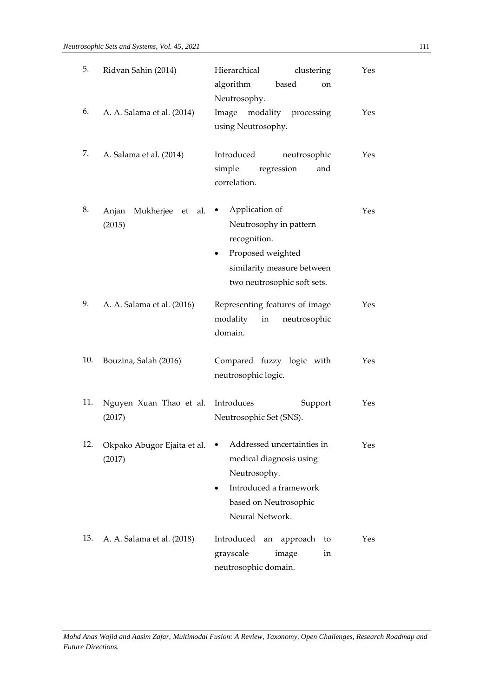| 5.  | Ridvan Sahin (2014)                    | Hierarchical<br>clustering<br>algorithm<br>based<br><sub>on</sub><br>Neutrosophy.                                                               | Yes |
|-----|----------------------------------------|-------------------------------------------------------------------------------------------------------------------------------------------------|-----|
| 6.  | A. A. Salama et al. (2014)             | Image modality processing<br>using Neutrosophy.                                                                                                 | Yes |
| 7.  | A. Salama et al. (2014)                | Introduced<br>neutrosophic<br>simple<br>regression<br>and<br>correlation.                                                                       | Yes |
| 8.  | Anjan<br>Mukherjee et<br>al.<br>(2015) | Application of<br>٠<br>Neutrosophy in pattern<br>recognition.<br>Proposed weighted<br>similarity measure between<br>two neutrosophic soft sets. | Yes |
| 9.  | A. A. Salama et al. (2016)             | Representing features of image<br>modality<br>in<br>neutrosophic<br>domain.                                                                     | Yes |
| 10. | Bouzina, Salah (2016)                  | Compared fuzzy logic with<br>neutrosophic logic.                                                                                                | Yes |
| 11. | Nguyen Xuan Thao et al.<br>(2017)      | Introduces<br>Support<br>Neutrosophic Set (SNS).                                                                                                | Yes |
| 12. | Okpako Abugor Ejaita et al.<br>(2017)  | Addressed uncertainties in<br>medical diagnosis using<br>Neutrosophy.<br>Introduced a framework<br>based on Neutrosophic<br>Neural Network.     | Yes |
| 13. | A. A. Salama et al. (2018)             | Introduced<br>approach<br>to<br>an<br>grayscale<br>image<br>in<br>neutrosophic domain.                                                          | Yes |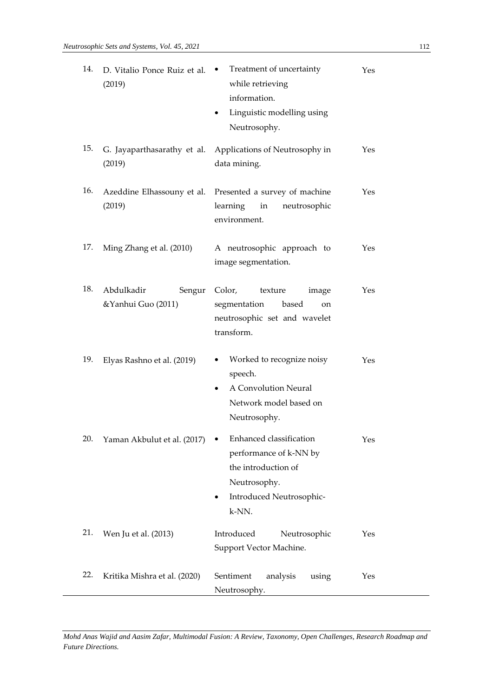| 14. | D. Vitalio Ponce Ruiz et al.<br>(2019)     | Treatment of uncertainty<br>٠<br>while retrieving<br>information.<br>Linguistic modelling using<br>٠<br>Neutrosophy.          | Yes |
|-----|--------------------------------------------|-------------------------------------------------------------------------------------------------------------------------------|-----|
| 15. | G. Jayaparthasarathy et al.<br>(2019)      | Applications of Neutrosophy in<br>data mining.                                                                                | Yes |
| 16. | Azeddine Elhassouny et al.<br>(2019)       | Presented a survey of machine<br>learning<br>in<br>neutrosophic<br>environment.                                               | Yes |
| 17. | Ming Zhang et al. (2010)                   | A neutrosophic approach to<br>image segmentation.                                                                             | Yes |
| 18. | Abdulkadir<br>Sengur<br>&Yanhui Guo (2011) | Color,<br>texture<br>image<br>segmentation<br>based<br>on<br>neutrosophic set and wavelet<br>transform.                       | Yes |
| 19. | Elyas Rashno et al. (2019)                 | Worked to recognize noisy<br>speech.<br>A Convolution Neural<br>$\bullet$<br>Network model based on<br>Neutrosophy.           | Yes |
| 20. | Yaman Akbulut et al. (2017)                | Enhanced classification<br>performance of k-NN by<br>the introduction of<br>Neutrosophy.<br>Introduced Neutrosophic-<br>k-NN. | Yes |
| 21. | Wen Ju et al. (2013)                       | Introduced<br>Neutrosophic<br>Support Vector Machine.                                                                         | Yes |
| 22. | Kritika Mishra et al. (2020)               | Sentiment<br>analysis<br>using<br>Neutrosophy.                                                                                | Yes |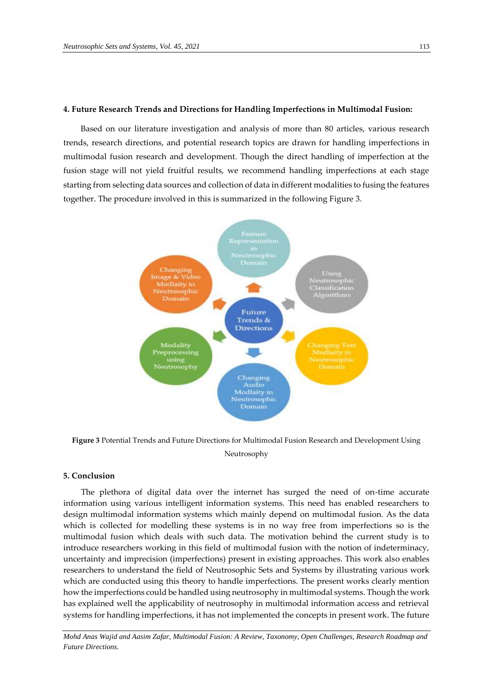#### **4. Future Research Trends and Directions for Handling Imperfections in Multimodal Fusion:**

Based on our literature investigation and analysis of more than 80 articles, various research trends, research directions, and potential research topics are drawn for handling imperfections in multimodal fusion research and development. Though the direct handling of imperfection at the fusion stage will not yield fruitful results, we recommend handling imperfections at each stage starting from selecting data sources and collection of data in different modalities to fusing the features together. The procedure involved in this is summarized in the following Figure 3.



**Figure 3** Potential Trends and Future Directions for Multimodal Fusion Research and Development Using Neutrosophy

### **5. Conclusion**

The plethora of digital data over the internet has surged the need of on-time accurate information using various intelligent information systems. This need has enabled researchers to design multimodal information systems which mainly depend on multimodal fusion. As the data which is collected for modelling these systems is in no way free from imperfections so is the multimodal fusion which deals with such data. The motivation behind the current study is to introduce researchers working in this field of multimodal fusion with the notion of indeterminacy, uncertainty and imprecision (imperfections) present in existing approaches. This work also enables researchers to understand the field of Neutrosophic Sets and Systems by illustrating various work which are conducted using this theory to handle imperfections. The present works clearly mention how the imperfections could be handled using neutrosophy in multimodal systems. Though the work has explained well the applicability of neutrosophy in multimodal information access and retrieval systems for handling imperfections, it has not implemented the concepts in present work. The future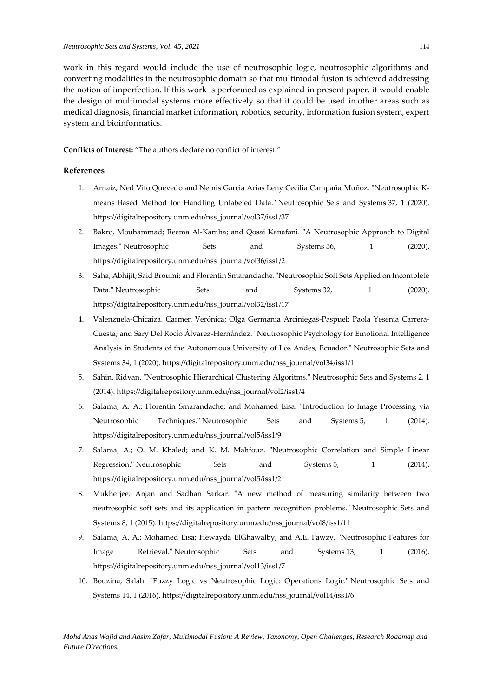work in this regard would include the use of neutrosophic logic, neutrosophic algorithms and converting modalities in the neutrosophic domain so that multimodal fusion is achieved addressing the notion of imperfection. If this work is performed as explained in present paper, it would enable the design of multimodal systems more effectively so that it could be used in other areas such as medical diagnosis, financial market information, robotics, security, information fusion system, expert system and bioinformatics.

**Conflicts of Interest:** "The authors declare no conflict of interest."

## **References**

- 1. Arnaiz, Ned Vito Quevedo and Nemis Garcia Arias Leny Cecilia Campaña Muñoz. "Neutrosophic Kmeans Based Method for Handling Unlabeled Data." Neutrosophic Sets and Systems 37, 1 (2020). [https://digitalrepository.unm.edu/nss\\_journal/vol37/iss1/37](https://digitalrepository.unm.edu/nss_journal/vol37/iss1/37)
- 2. Bakro, Mouhammad; Reema Al-Kamha; and Qosai Kanafani. "A Neutrosophic Approach to Digital Images." Neutrosophic Sets and Systems 36, 1 (2020). [https://digitalrepository.unm.edu/nss\\_journal/vol36/iss1/2](https://digitalrepository.unm.edu/nss_journal/vol36/iss1/2)
- 3. Saha, Abhijit; Said Broumi; and Florentin Smarandache. "Neutrosophic Soft Sets Applied on Incomplete Data." Neutrosophic Sets and Systems 32, 1 (2020). [https://digitalrepository.unm.edu/nss\\_journal/vol32/iss1/17](https://digitalrepository.unm.edu/nss_journal/vol32/iss1/17)
- 4. Valenzuela-Chicaiza, Carmen Verónica; Olga Germania Arciniegas-Paspuel; Paola Yesenia Carrera-Cuesta; and Sary Del Rocío Álvarez-Hernández. "Neutrosophic Psychology for Emotional Intelligence Analysis in Students of the Autonomous University of Los Andes, Ecuador." Neutrosophic Sets and Systems 34, 1 (2020). [https://digitalrepository.unm.edu/nss\\_journal/vol34/iss1/1](https://digitalrepository.unm.edu/nss_journal/vol34/iss1/1)
- 5. Sahin, Ridvan. "Neutrosophic Hierarchical Clustering Algoritms." Neutrosophic Sets and Systems 2, 1 (2014). [https://digitalrepository.unm.edu/nss\\_journal/vol2/iss1/4](https://digitalrepository.unm.edu/nss_journal/vol2/iss1/4)
- 6. Salama, A. A.; Florentin Smarandache; and Mohamed Eisa. "Introduction to Image Processing via Neutrosophic Techniques." Neutrosophic Sets and Systems 5, 1 (2014). [https://digitalrepository.unm.edu/nss\\_journal/vol5/iss1/9](https://digitalrepository.unm.edu/nss_journal/vol5/iss1/9)
- 7. Salama, A.; O. M. Khaled; and K. M. Mahfouz. "Neutrosophic Correlation and Simple Linear Regression." Neutrosophic Sets and Systems 5, 1 (2014). [https://digitalrepository.unm.edu/nss\\_journal/vol5/iss1/2](https://digitalrepository.unm.edu/nss_journal/vol5/iss1/2)
- 8. Mukherjee, Anjan and Sadhan Sarkar. "A new method of measuring similarity between two neutrosophic soft sets and its application in pattern recognition problems." Neutrosophic Sets and Systems 8, 1 (2015)[. https://digitalrepository.unm.edu/nss\\_journal/vol8/iss1/11](https://digitalrepository.unm.edu/nss_journal/vol8/iss1/11)
- 9. Salama, A. A.; Mohamed Eisa; Hewayda ElGhawalby; and A.E. Fawzy. "Neutrosophic Features for Image Retrieval." Neutrosophic Sets and Systems 13, 1 (2016). [https://digitalrepository.unm.edu/nss\\_journal/vol13/iss1/7](https://digitalrepository.unm.edu/nss_journal/vol13/iss1/7)
- 10. Bouzina, Salah. "Fuzzy Logic vs Neutrosophic Logic: Operations Logic." Neutrosophic Sets and Systems 14, 1 (2016). [https://digitalrepository.unm.edu/nss\\_journal/vol14/iss1/6](https://digitalrepository.unm.edu/nss_journal/vol14/iss1/6)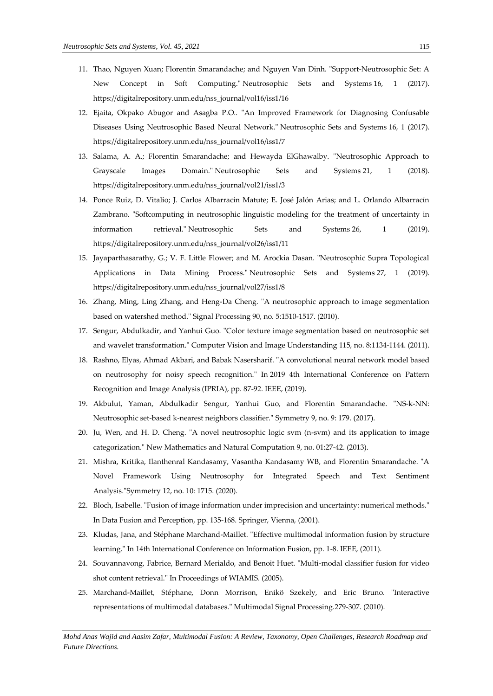- 11. Thao, Nguyen Xuan; Florentin Smarandache; and Nguyen Van Dinh. "Support-Neutrosophic Set: A New Concept in Soft Computing." Neutrosophic Sets and Systems 16, 1 (2017). [https://digitalrepository.unm.edu/nss\\_journal/vol16/iss1/16](https://digitalrepository.unm.edu/nss_journal/vol16/iss1/16)
- 12. Ejaita, Okpako Abugor and Asagba P.O.. "An Improved Framework for Diagnosing Confusable Diseases Using Neutrosophic Based Neural Network." Neutrosophic Sets and Systems 16, 1 (2017). [https://digitalrepository.unm.edu/nss\\_journal/vol16/iss1/7](https://digitalrepository.unm.edu/nss_journal/vol16/iss1/7)
- 13. Salama, A. A.; Florentin Smarandache; and Hewayda ElGhawalby. "Neutrosophic Approach to Grayscale Images Domain." Neutrosophic Sets and Systems 21, 1 (2018). [https://digitalrepository.unm.edu/nss\\_journal/vol21/iss1/3](https://digitalrepository.unm.edu/nss_journal/vol21/iss1/3)
- 14. Ponce Ruiz, D. Vitalio; J. Carlos Albarracín Matute; E. José Jalón Arias; and L. Orlando Albarracín Zambrano. "Softcomputing in neutrosophic linguistic modeling for the treatment of uncertainty in information retrieval." Neutrosophic Sets and Systems 26, 1 (2019). [https://digitalrepository.unm.edu/nss\\_journal/vol26/iss1/11](https://digitalrepository.unm.edu/nss_journal/vol26/iss1/11)
- 15. Jayaparthasarathy, G.; V. F. Little Flower; and M. Arockia Dasan. "Neutrosophic Supra Topological Applications in Data Mining Process." Neutrosophic Sets and Systems 27, 1 (2019). [https://digitalrepository.unm.edu/nss\\_journal/vol27/iss1/8](https://digitalrepository.unm.edu/nss_journal/vol27/iss1/8)
- 16. Zhang, Ming, Ling Zhang, and Heng-Da Cheng. "A neutrosophic approach to image segmentation based on watershed method." Signal Processing 90, no. 5:1510-1517. (2010).
- 17. Sengur, Abdulkadir, and Yanhui Guo. "Color texture image segmentation based on neutrosophic set and wavelet transformation." Computer Vision and Image Understanding 115, no. 8:1134-1144. (2011).
- 18. Rashno, Elyas, Ahmad Akbari, and Babak Nasersharif. "A convolutional neural network model based on neutrosophy for noisy speech recognition." In 2019 4th International Conference on Pattern Recognition and Image Analysis (IPRIA), pp. 87-92. IEEE, (2019).
- 19. Akbulut, Yaman, Abdulkadir Sengur, Yanhui Guo, and Florentin Smarandache. "NS-k-NN: Neutrosophic set-based k-nearest neighbors classifier." Symmetry 9, no. 9: 179. (2017).
- 20. Ju, Wen, and H. D. Cheng. "A novel neutrosophic logic svm (n-svm) and its application to image categorization." New Mathematics and Natural Computation 9, no. 01:27-42. (2013).
- 21. Mishra, Kritika, Ilanthenral Kandasamy, Vasantha Kandasamy WB, and Florentin Smarandache. "A Novel Framework Using Neutrosophy for Integrated Speech and Text Sentiment Analysis."Symmetry 12, no. 10: 1715. (2020).
- 22. Bloch, Isabelle. "Fusion of image information under imprecision and uncertainty: numerical methods." In Data Fusion and Perception, pp. 135-168. Springer, Vienna, (2001).
- 23. Kludas, Jana, and Stéphane Marchand-Maillet. "Effective multimodal information fusion by structure learning." In 14th International Conference on Information Fusion, pp. 1-8. IEEE, (2011).
- 24. Souvannavong, Fabrice, Bernard Merialdo, and Benoit Huet. "Multi-modal classifier fusion for video shot content retrieval." In Proceedings of WIAMIS. (2005).
- 25. Marchand-Maillet, Stéphane, Donn Morrison, Enikö Szekely, and Eric Bruno. "Interactive representations of multimodal databases." Multimodal Signal Processing.279-307. (2010).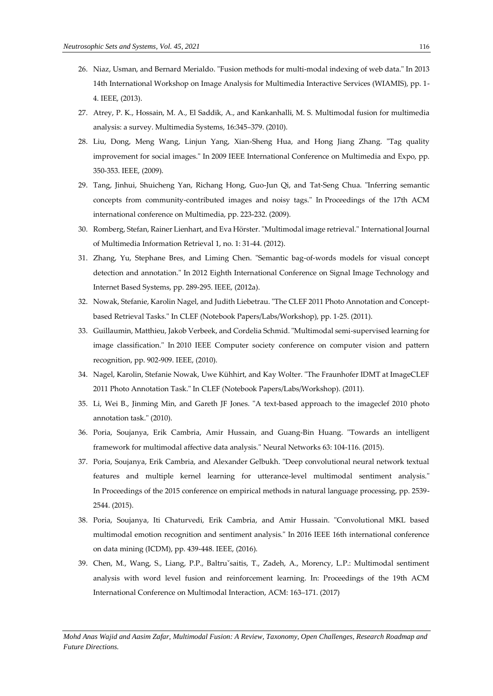- 26. Niaz, Usman, and Bernard Merialdo. "Fusion methods for multi-modal indexing of web data." In 2013 14th International Workshop on Image Analysis for Multimedia Interactive Services (WIAMIS), pp. 1- 4. IEEE, (2013).
- 27. Atrey, P. K., Hossain, M. A., El Saddik, A., and Kankanhalli, M. S. Multimodal fusion for multimedia analysis: a survey. Multimedia Systems, 16:345–379. (2010).
- 28. Liu, Dong, Meng Wang, Linjun Yang, Xian-Sheng Hua, and Hong Jiang Zhang. "Tag quality improvement for social images." In 2009 IEEE International Conference on Multimedia and Expo, pp. 350-353. IEEE, (2009).
- 29. Tang, Jinhui, Shuicheng Yan, Richang Hong, Guo-Jun Qi, and Tat-Seng Chua. "Inferring semantic concepts from community-contributed images and noisy tags." In Proceedings of the 17th ACM international conference on Multimedia, pp. 223-232. (2009).
- 30. Romberg, Stefan, Rainer Lienhart, and Eva Hörster. "Multimodal image retrieval." International Journal of Multimedia Information Retrieval 1, no. 1: 31-44. (2012).
- 31. Zhang, Yu, Stephane Bres, and Liming Chen. "Semantic bag-of-words models for visual concept detection and annotation." In 2012 Eighth International Conference on Signal Image Technology and Internet Based Systems, pp. 289-295. IEEE, (2012a).
- 32. Nowak, Stefanie, Karolin Nagel, and Judith Liebetrau. "The CLEF 2011 Photo Annotation and Conceptbased Retrieval Tasks." In CLEF (Notebook Papers/Labs/Workshop), pp. 1-25. (2011).
- 33. Guillaumin, Matthieu, Jakob Verbeek, and Cordelia Schmid. "Multimodal semi-supervised learning for image classification." In 2010 IEEE Computer society conference on computer vision and pattern recognition, pp. 902-909. IEEE, (2010).
- 34. Nagel, Karolin, Stefanie Nowak, Uwe Kühhirt, and Kay Wolter. "The Fraunhofer IDMT at ImageCLEF 2011 Photo Annotation Task." In CLEF (Notebook Papers/Labs/Workshop). (2011).
- 35. Li, Wei B., Jinming Min, and Gareth JF Jones. "A text-based approach to the imageclef 2010 photo annotation task." (2010).
- 36. Poria, Soujanya, Erik Cambria, Amir Hussain, and Guang-Bin Huang. "Towards an intelligent framework for multimodal affective data analysis." Neural Networks 63: 104-116. (2015).
- 37. Poria, Soujanya, Erik Cambria, and Alexander Gelbukh. "Deep convolutional neural network textual features and multiple kernel learning for utterance-level multimodal sentiment analysis." In Proceedings of the 2015 conference on empirical methods in natural language processing, pp. 2539- 2544. (2015).
- 38. Poria, Soujanya, Iti Chaturvedi, Erik Cambria, and Amir Hussain. "Convolutional MKL based multimodal emotion recognition and sentiment analysis." In 2016 IEEE 16th international conference on data mining (ICDM), pp. 439-448. IEEE, (2016).
- 39. Chen, M., Wang, S., Liang, P.P., Baltruˇsaitis, T., Zadeh, A., Morency, L.P.: Multimodal sentiment analysis with word level fusion and reinforcement learning. In: Proceedings of the 19th ACM International Conference on Multimodal Interaction, ACM: 163–171. (2017)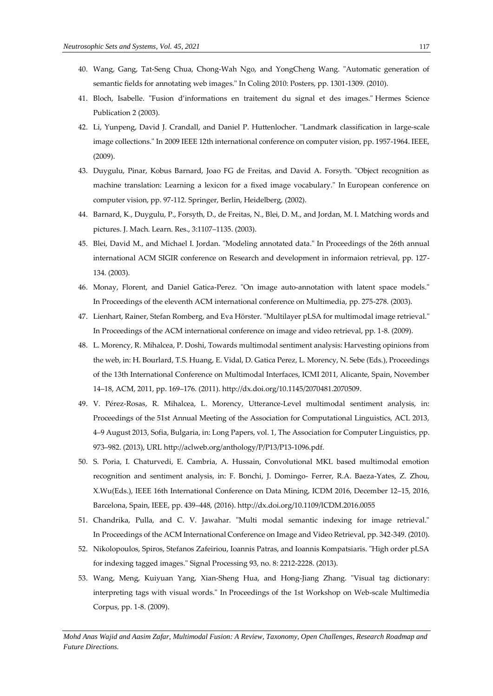- 40. Wang, Gang, Tat-Seng Chua, Chong-Wah Ngo, and YongCheng Wang. "Automatic generation of semantic fields for annotating web images." In Coling 2010: Posters, pp. 1301-1309. (2010).
- 41. Bloch, Isabelle. "Fusion d'informations en traitement du signal et des images." Hermes Science Publication 2 (2003).
- 42. Li, Yunpeng, David J. Crandall, and Daniel P. Huttenlocher. "Landmark classification in large-scale image collections." In 2009 IEEE 12th international conference on computer vision, pp. 1957-1964. IEEE, (2009).
- 43. Duygulu, Pinar, Kobus Barnard, Joao FG de Freitas, and David A. Forsyth. "Object recognition as machine translation: Learning a lexicon for a fixed image vocabulary." In European conference on computer vision, pp. 97-112. Springer, Berlin, Heidelberg, (2002).
- 44. Barnard, K., Duygulu, P., Forsyth, D., de Freitas, N., Blei, D. M., and Jordan, M. I. Matching words and pictures. J. Mach. Learn. Res., 3:1107–1135. (2003).
- 45. Blei, David M., and Michael I. Jordan. "Modeling annotated data." In Proceedings of the 26th annual international ACM SIGIR conference on Research and development in informaion retrieval, pp. 127- 134. (2003).
- 46. Monay, Florent, and Daniel Gatica-Perez. "On image auto-annotation with latent space models." In Proceedings of the eleventh ACM international conference on Multimedia, pp. 275-278. (2003).
- 47. Lienhart, Rainer, Stefan Romberg, and Eva Hörster. "Multilayer pLSA for multimodal image retrieval." In Proceedings of the ACM international conference on image and video retrieval, pp. 1-8. (2009).
- 48. L. Morency, R. Mihalcea, P. Doshi, Towards multimodal sentiment analysis: Harvesting opinions from the web, in: H. Bourlard, T.S. Huang, E. Vidal, D. Gatica Perez, L. Morency, N. Sebe (Eds.), Proceedings of the 13th International Conference on Multimodal Interfaces, ICMI 2011, Alicante, Spain, November 14–18, ACM, 2011, pp. 169–176. (2011)[. http://dx.doi.org/10.1145/2070481.2070509.](http://dx.doi.org/10.1145/2070481.2070509)
- 49. V. Pérez-Rosas, R. Mihalcea, L. Morency, Utterance-Level multimodal sentiment analysis, in: Proceedings of the 51st Annual Meeting of the Association for Computational Linguistics, ACL 2013, 4–9 August 2013, Sofia, Bulgaria, in: Long Papers, vol. 1, The Association for Computer Linguistics, pp. 973–982. (2013), URL [http://aclweb.org/anthology/P/P13/P13-1096.pdf.](http://aclweb.org/anthology/P/P13/P13-1096.pdf)
- 50. S. Poria, I. Chaturvedi, E. Cambria, A. Hussain, Convolutional MKL based multimodal emotion recognition and sentiment analysis, in: F. Bonchi, J. Domingo- Ferrer, R.A. Baeza-Yates, Z. Zhou, X.Wu(Eds.), IEEE 16th International Conference on Data Mining, ICDM 2016, December 12–15, 2016, Barcelona, Spain, IEEE, pp. 439–448, (2016). <http://dx.doi.org/10.1109/ICDM.2016.0055>
- 51. Chandrika, Pulla, and C. V. Jawahar. "Multi modal semantic indexing for image retrieval." In Proceedings of the ACM International Conference on Image and Video Retrieval, pp. 342-349. (2010).
- 52. Nikolopoulos, Spiros, Stefanos Zafeiriou, Ioannis Patras, and Ioannis Kompatsiaris. "High order pLSA for indexing tagged images." Signal Processing 93, no. 8: 2212-2228. (2013).
- 53. Wang, Meng, Kuiyuan Yang, Xian-Sheng Hua, and Hong-Jiang Zhang. "Visual tag dictionary: interpreting tags with visual words." In Proceedings of the 1st Workshop on Web-scale Multimedia Corpus, pp. 1-8. (2009).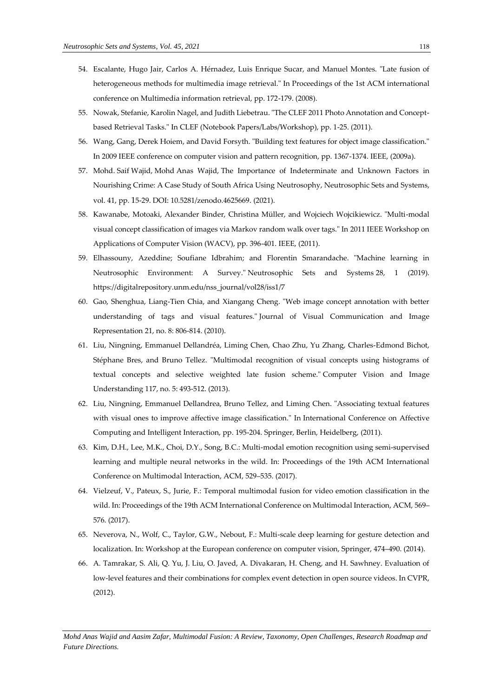- 54. Escalante, Hugo Jair, Carlos A. Hérnadez, Luis Enrique Sucar, and Manuel Montes. "Late fusion of heterogeneous methods for multimedia image retrieval." In Proceedings of the 1st ACM international conference on Multimedia information retrieval, pp. 172-179. (2008).
- 55. Nowak, Stefanie, Karolin Nagel, and Judith Liebetrau. "The CLEF 2011 Photo Annotation and Conceptbased Retrieval Tasks." In CLEF (Notebook Papers/Labs/Workshop), pp. 1-25. (2011).
- 56. Wang, Gang, Derek Hoiem, and David Forsyth. "Building text features for object image classification." In 2009 IEEE conference on computer vision and pattern recognition, pp. 1367-1374. IEEE, (2009a).
- 57. Mohd. Saif Wajid, Mohd Anas Wajid, [The Importance of Indeterminate and Unknown Factors in](http://fs.unm.edu/NSS/TheImportanceOfIndeterminateAndUnknown2.pdf)  [Nourishing Crime: A Case Study of South Africa Using](http://fs.unm.edu/NSS/TheImportanceOfIndeterminateAndUnknown2.pdf) Neutrosophy, Neutrosophic Sets and Systems, vol. 41, pp. 15-29. DOI: 10.5281/zenodo.4625669. (2021).
- 58. Kawanabe, Motoaki, Alexander Binder, Christina Müller, and Wojciech Wojcikiewicz. "Multi-modal visual concept classification of images via Markov random walk over tags." In 2011 IEEE Workshop on Applications of Computer Vision (WACV), pp. 396-401. IEEE, (2011).
- 59. Elhassouny, Azeddine; Soufiane Idbrahim; and Florentin Smarandache. "Machine learning in Neutrosophic Environment: A Survey." Neutrosophic Sets and Systems 28, 1 (2019). https://digitalrepository.unm.edu/nss\_journal/vol28/iss1/7
- 60. Gao, Shenghua, Liang-Tien Chia, and Xiangang Cheng. "Web image concept annotation with better understanding of tags and visual features." Journal of Visual Communication and Image Representation 21, no. 8: 806-814. (2010).
- 61. Liu, Ningning, Emmanuel Dellandréa, Liming Chen, Chao Zhu, Yu Zhang, Charles-Edmond Bichot, Stéphane Bres, and Bruno Tellez. "Multimodal recognition of visual concepts using histograms of textual concepts and selective weighted late fusion scheme." Computer Vision and Image Understanding 117, no. 5: 493-512. (2013).
- 62. Liu, Ningning, Emmanuel Dellandrea, Bruno Tellez, and Liming Chen. "Associating textual features with visual ones to improve affective image classification." In International Conference on Affective Computing and Intelligent Interaction, pp. 195-204. Springer, Berlin, Heidelberg, (2011).
- 63. Kim, D.H., Lee, M.K., Choi, D.Y., Song, B.C.: Multi-modal emotion recognition using semi-supervised learning and multiple neural networks in the wild. In: Proceedings of the 19th ACM International Conference on Multimodal Interaction, ACM, 529–535. (2017).
- 64. Vielzeuf, V., Pateux, S., Jurie, F.: Temporal multimodal fusion for video emotion classification in the wild. In: Proceedings of the 19th ACM International Conference on Multimodal Interaction, ACM, 569– 576. (2017).
- 65. Neverova, N., Wolf, C., Taylor, G.W., Nebout, F.: Multi-scale deep learning for gesture detection and localization. In: Workshop at the European conference on computer vision, Springer, 474–490. (2014).
- 66. A. Tamrakar, S. Ali, Q. Yu, J. Liu, O. Javed, A. Divakaran, H. Cheng, and H. Sawhney. Evaluation of low-level features and their combinations for complex event detection in open source videos. In CVPR, (2012).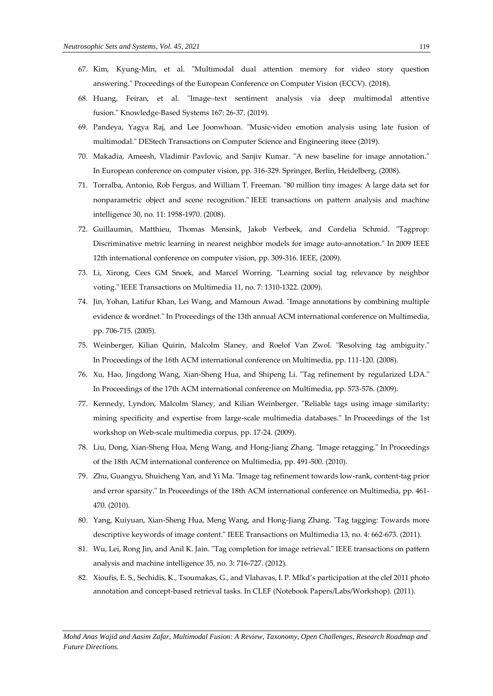- 67. Kim, Kyung-Min, et al. "Multimodal dual attention memory for video story question answering." Proceedings of the European Conference on Computer Vision (ECCV). (2018).
- 68. Huang, Feiran, et al. "Image–text sentiment analysis via deep multimodal attentive fusion." Knowledge-Based Systems 167: 26-37. (2019).
- 69. Pandeya, Yagya Raj, and Lee Joonwhoan. "Music-video emotion analysis using late fusion of multimodal." DEStech Transactions on Computer Science and Engineering iteee (2019).
- 70. Makadia, Ameesh, Vladimir Pavlovic, and Sanjiv Kumar. "A new baseline for image annotation." In European conference on computer vision, pp. 316-329. Springer, Berlin, Heidelberg, (2008).
- 71. Torralba, Antonio, Rob Fergus, and William T. Freeman. "80 million tiny images: A large data set for nonparametric object and scene recognition." IEEE transactions on pattern analysis and machine intelligence 30, no. 11: 1958-1970. (2008).
- 72. Guillaumin, Matthieu, Thomas Mensink, Jakob Verbeek, and Cordelia Schmid. "Tagprop: Discriminative metric learning in nearest neighbor models for image auto-annotation." In 2009 IEEE 12th international conference on computer vision, pp. 309-316. IEEE, (2009).
- 73. Li, Xirong, Cees GM Snoek, and Marcel Worring. "Learning social tag relevance by neighbor voting." IEEE Transactions on Multimedia 11, no. 7: 1310-1322. (2009).
- 74. Jin, Yohan, Latifur Khan, Lei Wang, and Mamoun Awad. "Image annotations by combining multiple evidence & wordnet." In Proceedings of the 13th annual ACM international conference on Multimedia, pp. 706-715. (2005).
- 75. Weinberger, Kilian Quirin, Malcolm Slaney, and Roelof Van Zwol. "Resolving tag ambiguity." In Proceedings of the 16th ACM international conference on Multimedia, pp. 111-120. (2008).
- 76. Xu, Hao, Jingdong Wang, Xian-Sheng Hua, and Shipeng Li. "Tag refinement by regularized LDA." In Proceedings of the 17th ACM international conference on Multimedia, pp. 573-576. (2009).
- 77. Kennedy, Lyndon, Malcolm Slaney, and Kilian Weinberger. "Reliable tags using image similarity: mining specificity and expertise from large-scale multimedia databases." In Proceedings of the 1st workshop on Web-scale multimedia corpus, pp. 17-24. (2009).
- 78. Liu, Dong, Xian-Sheng Hua, Meng Wang, and Hong-Jiang Zhang. "Image retagging." In Proceedings of the 18th ACM international conference on Multimedia, pp. 491-500. (2010).
- 79. Zhu, Guangyu, Shuicheng Yan, and Yi Ma. "Image tag refinement towards low-rank, content-tag prior and error sparsity." In Proceedings of the 18th ACM international conference on Multimedia, pp. 461- 470. (2010).
- 80. Yang, Kuiyuan, Xian-Sheng Hua, Meng Wang, and Hong-Jiang Zhang. "Tag tagging: Towards more descriptive keywords of image content." IEEE Transactions on Multimedia 13, no. 4: 662-673. (2011).
- 81. Wu, Lei, Rong Jin, and Anil K. Jain. "Tag completion for image retrieval." IEEE transactions on pattern analysis and machine intelligence 35, no. 3: 716-727. (2012).
- 82. Xioufis, E. S., Sechidis, K., Tsoumakas, G., and Vlahavas, I. P. Mlkd's participation at the clef 2011 photo annotation and concept-based retrieval tasks. In CLEF (Notebook Papers/Labs/Workshop). (2011).